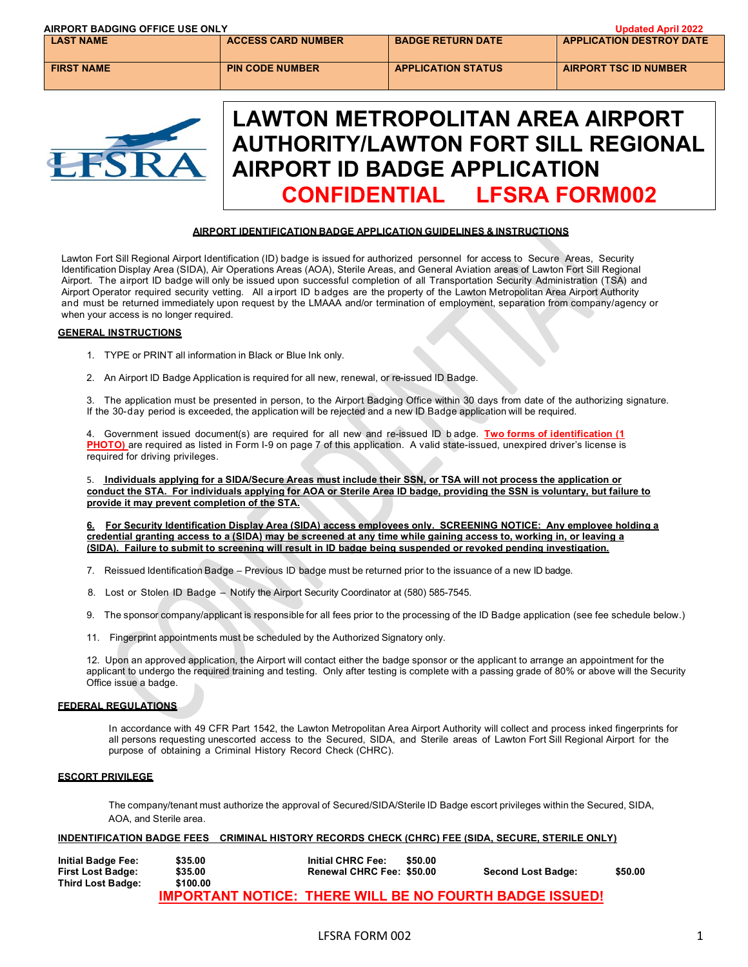| AIRPORT BADGING OFFICE USE ONLY |                           |                                                                                                                       | <b>Updated April 2022</b>       |
|---------------------------------|---------------------------|-----------------------------------------------------------------------------------------------------------------------|---------------------------------|
| <b>LAST NAME</b>                | <b>ACCESS CARD NUMBER</b> | <b>BADGE RETURN DATE</b>                                                                                              | <b>APPLICATION DESTROY DATE</b> |
| <b>FIRST NAME</b>               | <b>PIN CODE NUMBER</b>    | <b>APPLICATION STATUS</b>                                                                                             | <b>AIRPORT TSC ID NUMBER</b>    |
|                                 |                           |                                                                                                                       |                                 |
|                                 |                           |                                                                                                                       |                                 |
|                                 |                           |                                                                                                                       |                                 |
|                                 |                           | LAWTON METROPOLITAN AREA AIRPORT<br><b>AUTHORITY/LAWTON FORT SILL REGIONAL</b><br><b>AIRPORT ID BADGE APPLICATION</b> |                                 |

#### **AIRPORT IDENTIFICATION BADGE APPLICATION GUIDELINES & INSTRUCTIONS**

**CONFIDENTIAL LFSRA FORM002**

Lawton Fort Sill Regional Airport Identification (ID) badge is issued for authorized personnel for access to Secure Areas, Security Identification Display Area (SIDA), Air Operations Areas (AOA), Sterile Areas, and General Aviation areas of Lawton Fort Sill Regional Airport. The airport ID badge will only be issued upon successful completion of all Transportation Security Administration (TSA) and Airport Operator required security vetting. All a irport ID b adges are the property of the Lawton Metropolitan Area Airport Authority and must be returned immediately upon request by the LMAAA and/or termination of employment, separation from company/agency or when your access is no longer required.

#### **GENERAL INSTRUCTIONS**

- 1. TYPE or PRINT all information in Black or Blue Ink only.
- 2. An Airport ID Badge Application is required for all new, renewal, or re-issued ID Badge.

3. The application must be presented in person, to the Airport Badging Office within 30 days from date of the authorizing signature. If the 30-day period is exceeded, the application will be rejected and a new ID Badge application will be required.

4. Government issued document(s) are required for all new and re-issued ID b adge. **Two forms of identification (1 PHOTO)** are required as listed in Form I-9 on page 7 of this application. A valid state-issued, unexpired driver's license is required for driving privileges.

5. **Individuals applying for a SIDA/Secure Areas must include their SSN, or TSA will not process the application or conduct the STA. For individuals applying for AOA or Sterile Area ID badge, providing the SSN is voluntary, but failure to provide it may prevent completion of the STA.**

**6. For Security Identification Display Area (SIDA) access employees only. SCREENING NOTICE: Any employee holding a credential granting access to a (SIDA) may be screened at any time while gaining access to, working in, or leaving a (SIDA). Failure to submit to screening will result in ID badge being suspended or revoked pending investigation.**

- 7. Reissued Identification Badge Previous ID badge must be returned prior to the issuance of a new ID badge.
- 8. Lost or Stolen ID Badge Notify the Airport Security Coordinator at (580) 585-7545.
- 9. The sponsor company/applicant is responsible for all fees prior to the processing of the ID Badge application (see fee schedule below.)
- 11. Fingerprint appointments must be scheduled by the Authorized Signatory only.

12. Upon an approved application, the Airport will contact either the badge sponsor or the applicant to arrange an appointment for the applicant to undergo the required training and testing. Only after testing is complete with a passing grade of 80% or above will the Security Office issue a badge.

#### **FEDERAL REGULATIONS**

In accordance with 49 CFR Part 1542, the Lawton Metropolitan Area Airport Authority will collect and process inked fingerprints for all persons requesting unescorted access to the Secured, SIDA, and Sterile areas of Lawton Fort Sill Regional Airport for the purpose of obtaining a Criminal History Record Check (CHRC).

#### **ESCORT PRIVILEGE**

The company/tenant must authorize the approval of Secured/SIDA/Sterile ID Badge escort privileges within the Secured, SIDA, AOA, and Sterile area.

#### **INDENTIFICATION BADGE FEES CRIMINAL HISTORY RECORDS CHECK (CHRC) FEE (SIDA, SECURE, STERILE ONLY)**

| <b>Initial Badge Fee:</b> | \$35.00                                                        | <b>Initial CHRC Fee:</b>  | \$50.00 |                           |         |
|---------------------------|----------------------------------------------------------------|---------------------------|---------|---------------------------|---------|
| First Lost Badge:         | \$35.00                                                        | Renewal CHRC Fee: \$50.00 |         | <b>Second Lost Badge:</b> | \$50.00 |
| <b>Third Lost Badge:</b>  | \$100.00                                                       |                           |         |                           |         |
|                           | <b>IMPORTANT NOTICE: THERE WILL BE NO FOURTH BADGE ISSUED!</b> |                           |         |                           |         |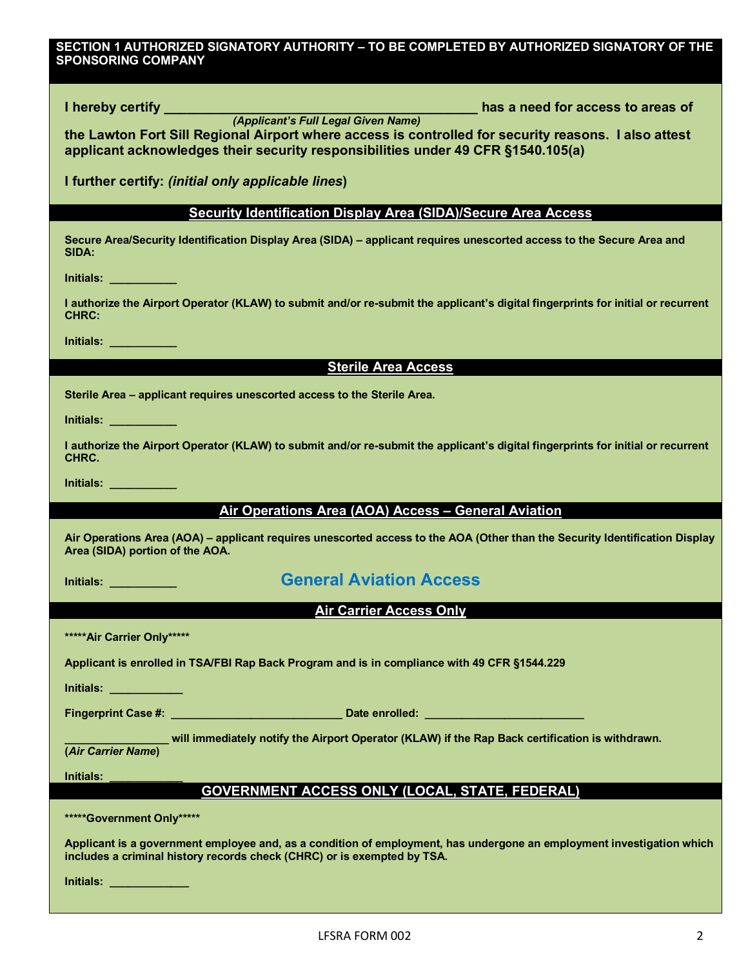### **SECTION 1 AUTHORIZED SIGNATORY AUTHORITY – TO BE COMPLETED BY AUTHORIZED SIGNATORY OF THE SPONSORING COMPANY**

| the Lawton Fort Sill Regional Airport where access is controlled for security reasons. I also attest<br>applicant acknowledges their security responsibilities under 49 CFR §1540.105(a)         |
|--------------------------------------------------------------------------------------------------------------------------------------------------------------------------------------------------|
| I further certify: (initial only applicable lines)                                                                                                                                               |
| <b>Security Identification Display Area (SIDA)/Secure Area Access</b>                                                                                                                            |
| Secure Area/Security Identification Display Area (SIDA) - applicant requires unescorted access to the Secure Area and<br>SIDA:                                                                   |
| <b>Initials:</b> The Contract of the Contract of the Contract of the Contract of the Contract of the Contract of the Co                                                                          |
| I authorize the Airport Operator (KLAW) to submit and/or re-submit the applicant's digital fingerprints for initial or recurrent<br><b>CHRC:</b>                                                 |
| <u>Initials: ___________</u>                                                                                                                                                                     |
| <b>Sterile Area Access</b>                                                                                                                                                                       |
| Sterile Area - applicant requires unescorted access to the Sterile Area.                                                                                                                         |
| <u>Initials: ___________</u>                                                                                                                                                                     |
| I authorize the Airport Operator (KLAW) to submit and/or re-submit the applicant's digital fingerprints for initial or recurrent<br>CHRC.                                                        |
| <u>Initials: ___________</u>                                                                                                                                                                     |
| Air Operations Area (AOA) Access - General Aviation                                                                                                                                              |
| Air Operations Area (AOA) - applicant requires unescorted access to the AOA (Other than the Security Identification Display<br>Area (SIDA) portion of the AOA.                                   |
|                                                                                                                                                                                                  |
| <b>General Aviation Access</b><br><b>Initials:</b> _____________                                                                                                                                 |
| <b>Air Carrier Access Only</b>                                                                                                                                                                   |
| *****Air Carrier Only*****                                                                                                                                                                       |
| Applicant is enrolled in TSA/FBI Rap Back Program and is in compliance with 49 CFR §1544.229                                                                                                     |
| Initials: <b>All Accounts</b>                                                                                                                                                                    |
|                                                                                                                                                                                                  |
| will immediately notify the Airport Operator (KLAW) if the Rap Back certification is withdrawn.                                                                                                  |
| <b>Initials:</b>                                                                                                                                                                                 |
| <b>GOVERNMENT ACCESS ONLY (LOCAL, STATE, FEDERAL)</b>                                                                                                                                            |
| *****Government Only*****                                                                                                                                                                        |
| Applicant is a government employee and, as a condition of employment, has undergone an employment investigation which<br>includes a criminal history records check (CHRC) or is exempted by TSA. |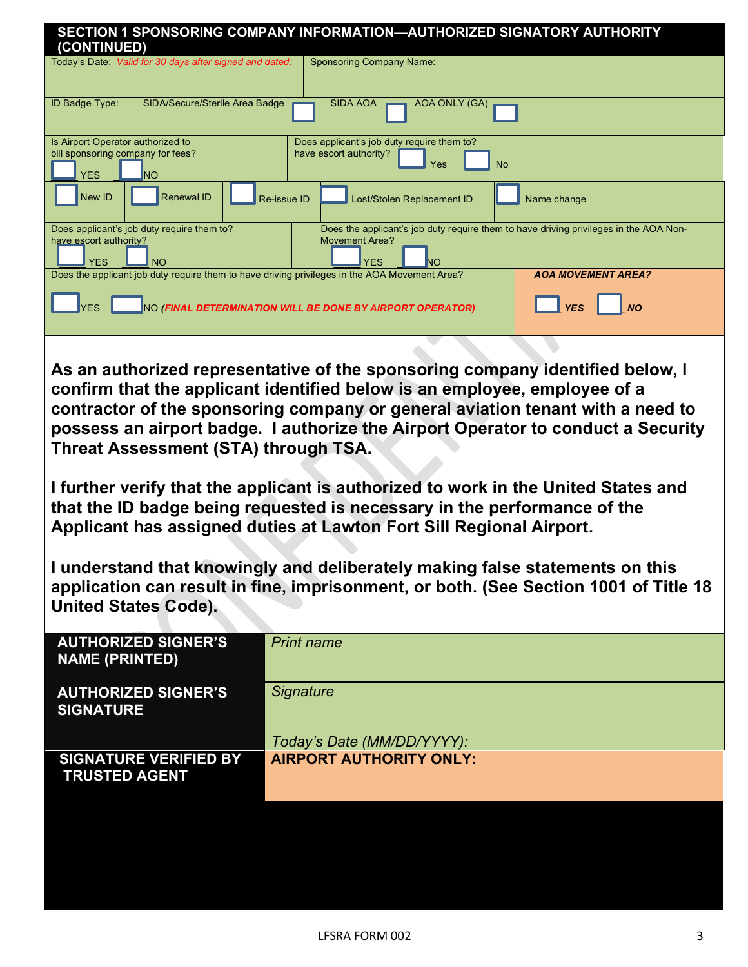| (CONTINUED)                                                                                     | SECTION 1 SPONSORING COMPANY INFORMATION-AUTHORIZED SIGNATORY AUTHORITY                                                                                                                                                                                                                                                                                                                                                                                                                                                                                                                                                                                                                                                                           |
|-------------------------------------------------------------------------------------------------|---------------------------------------------------------------------------------------------------------------------------------------------------------------------------------------------------------------------------------------------------------------------------------------------------------------------------------------------------------------------------------------------------------------------------------------------------------------------------------------------------------------------------------------------------------------------------------------------------------------------------------------------------------------------------------------------------------------------------------------------------|
| Today's Date: Valid for 30 days after signed and dated:                                         | <b>Sponsoring Company Name:</b>                                                                                                                                                                                                                                                                                                                                                                                                                                                                                                                                                                                                                                                                                                                   |
| <b>ID Badge Type:</b><br>SIDA/Secure/Sterile Area Badge                                         | <b>SIDA AOA</b><br>AOA ONLY (GA)                                                                                                                                                                                                                                                                                                                                                                                                                                                                                                                                                                                                                                                                                                                  |
| Is Airport Operator authorized to<br>bill sponsoring company for fees?<br><b>YES</b><br>lΝO     | Does applicant's job duty require them to?<br>have escort authority?<br>No<br>Yes                                                                                                                                                                                                                                                                                                                                                                                                                                                                                                                                                                                                                                                                 |
| New ID<br><b>Renewal ID</b>                                                                     | Re-issue ID<br>Lost/Stolen Replacement ID<br>Name change                                                                                                                                                                                                                                                                                                                                                                                                                                                                                                                                                                                                                                                                                          |
| Does applicant's job duty require them to?<br>have escort authority?<br><b>YES</b><br><b>NO</b> | Does the applicant's job duty require them to have driving privileges in the AOA Non-<br><b>Movement Area?</b><br><b>YES</b><br>NΟ                                                                                                                                                                                                                                                                                                                                                                                                                                                                                                                                                                                                                |
| Does the applicant job duty require them to have driving privileges in the AOA Movement Area?   | <b>AOA MOVEMENT AREA?</b><br><b>NO</b><br><b>YES</b><br>NO (FINAL DETERMINATION WILL BE DONE BY AIRPORT OPERATOR)                                                                                                                                                                                                                                                                                                                                                                                                                                                                                                                                                                                                                                 |
| Threat Assessment (STA) through TSA.<br><b>United States Code).</b>                             | As an authorized representative of the sponsoring company identified below, I<br>confirm that the applicant identified below is an employee, employee of a<br>contractor of the sponsoring company or general aviation tenant with a need to<br>possess an airport badge. I authorize the Airport Operator to conduct a Security<br>I further verify that the applicant is authorized to work in the United States and<br>that the ID badge being requested is necessary in the performance of the<br>Applicant has assigned duties at Lawton Fort Sill Regional Airport.<br>I understand that knowingly and deliberately making false statements on this<br>application can result in fine, imprisonment, or both. (See Section 1001 of Title 18 |
| <b>AUTHORIZED SIGNER'S</b><br><b>NAME (PRINTED)</b>                                             | <b>Print name</b>                                                                                                                                                                                                                                                                                                                                                                                                                                                                                                                                                                                                                                                                                                                                 |
| <b>AUTHORIZED SIGNER'S</b><br><b>SIGNATURE</b>                                                  | Signature                                                                                                                                                                                                                                                                                                                                                                                                                                                                                                                                                                                                                                                                                                                                         |
|                                                                                                 | Today's Date (MM/DD/YYYY):                                                                                                                                                                                                                                                                                                                                                                                                                                                                                                                                                                                                                                                                                                                        |
| <b>SIGNATURE VERIFIED BY</b><br><b>TRUSTED AGENT</b>                                            | <b>AIRPORT AUTHORITY ONLY:</b>                                                                                                                                                                                                                                                                                                                                                                                                                                                                                                                                                                                                                                                                                                                    |
|                                                                                                 |                                                                                                                                                                                                                                                                                                                                                                                                                                                                                                                                                                                                                                                                                                                                                   |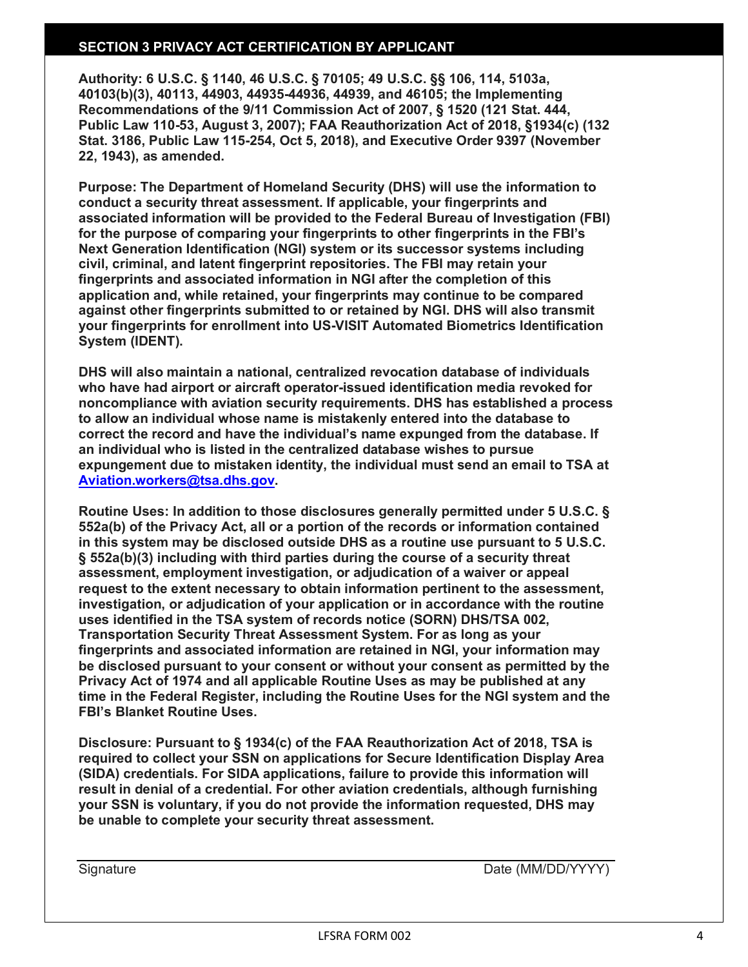## **SECTION 3 PRIVACY ACT CERTIFICATION BY APPLICANT**

**Authority: 6 U.S.C. § 1140, 46 U.S.C. § 70105; 49 U.S.C. §§ 106, 114, 5103a, 40103(b)(3), 40113, 44903, 44935-44936, 44939, and 46105; the Implementing Recommendations of the 9/11 Commission Act of 2007, § 1520 (121 Stat. 444, Public Law 110-53, August 3, 2007); FAA Reauthorization Act of 2018, §1934(c) (132 Stat. 3186, Public Law 115-254, Oct 5, 2018), and Executive Order 9397 (November 22, 1943), as amended.**

**Purpose: The Department of Homeland Security (DHS) will use the information to conduct a security threat assessment. If applicable, your fingerprints and associated information will be provided to the Federal Bureau of Investigation (FBI) for the purpose of comparing your fingerprints to other fingerprints in the FBI's Next Generation Identification (NGI) system or its successor systems including civil, criminal, and latent fingerprint repositories. The FBI may retain your fingerprints and associated information in NGI after the completion of this application and, while retained, your fingerprints may continue to be compared against other fingerprints submitted to or retained by NGI. DHS will also transmit your fingerprints for enrollment into US-VISIT Automated Biometrics Identification System (IDENT).**

**DHS will also maintain a national, centralized revocation database of individuals who have had airport or aircraft operator-issued identification media revoked for noncompliance with aviation security requirements. DHS has established a process to allow an individual whose name is mistakenly entered into the database to correct the record and have the individual's name expunged from the database. If an individual who is listed in the centralized database wishes to pursue expungement due to mistaken identity, the individual must send an email to TSA at [Aviation.workers@tsa.dhs.gov.](mailto:Aviation.workers@tsa.dhs.gov)**

**Routine Uses: In addition to those disclosures generally permitted under 5 U.S.C. § 552a(b) of the Privacy Act, all or a portion of the records or information contained in this system may be disclosed outside DHS as a routine use pursuant to 5 U.S.C. § 552a(b)(3) including with third parties during the course of a security threat assessment, employment investigation, or adjudication of a waiver or appeal request to the extent necessary to obtain information pertinent to the assessment, investigation, or adjudication of your application or in accordance with the routine uses identified in the TSA system of records notice (SORN) DHS/TSA 002, Transportation Security Threat Assessment System. For as long as your fingerprints and associated information are retained in NGI, your information may be disclosed pursuant to your consent or without your consent as permitted by the Privacy Act of 1974 and all applicable Routine Uses as may be published at any time in the Federal Register, including the Routine Uses for the NGI system and the FBI's Blanket Routine Uses.**

**Disclosure: Pursuant to § 1934(c) of the FAA Reauthorization Act of 2018, TSA is required to collect your SSN on applications for Secure Identification Display Area (SIDA) credentials. For SIDA applications, failure to provide this information will result in denial of a credential. For other aviation credentials, although furnishing your SSN is voluntary, if you do not provide the information requested, DHS may be unable to complete your security threat assessment.**

Signature Date (MM/DD/YYYY)

**be completed by authorized signer of sponsoring company)**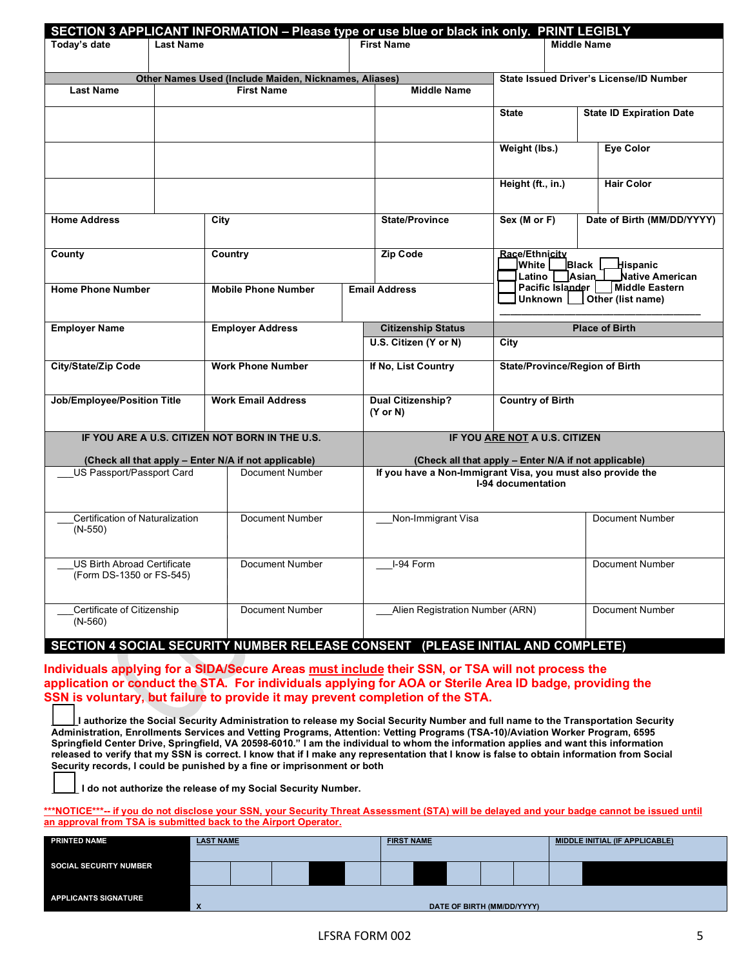| SECTION 3 APPLICANT INFORMATION - Please type or use blue or black ink only. PRINT LEGIBLY |                                                                                   |                                                       |                                 |                                                             |                                             |                            |                                     |  |  |  |  |
|--------------------------------------------------------------------------------------------|-----------------------------------------------------------------------------------|-------------------------------------------------------|---------------------------------|-------------------------------------------------------------|---------------------------------------------|----------------------------|-------------------------------------|--|--|--|--|
| Today's date                                                                               | <b>Last Name</b>                                                                  |                                                       |                                 | <b>First Name</b>                                           |                                             | <b>Middle Name</b>         |                                     |  |  |  |  |
|                                                                                            |                                                                                   | Other Names Used (Include Maiden, Nicknames, Aliases) |                                 |                                                             | State Issued Driver's License/ID Number     |                            |                                     |  |  |  |  |
| <b>Last Name</b>                                                                           |                                                                                   | <b>First Name</b>                                     |                                 | <b>Middle Name</b>                                          |                                             |                            |                                     |  |  |  |  |
|                                                                                            |                                                                                   |                                                       |                                 |                                                             | <b>State</b>                                |                            | <b>State ID Expiration Date</b>     |  |  |  |  |
|                                                                                            |                                                                                   |                                                       |                                 |                                                             | Weight (lbs.)                               |                            | <b>Eve Color</b>                    |  |  |  |  |
|                                                                                            |                                                                                   |                                                       |                                 |                                                             | Height (ft., in.)                           |                            | <b>Hair Color</b>                   |  |  |  |  |
| <b>Home Address</b>                                                                        |                                                                                   | City                                                  | <b>State/Province</b>           | Sex (M or F)                                                |                                             | Date of Birth (MM/DD/YYYY) |                                     |  |  |  |  |
| County                                                                                     |                                                                                   | Country                                               |                                 | Zip Code                                                    | Race/Ethnicity<br>lWhite l<br>Latino $\Box$ | Black<br>Asian             | Hispanic<br>Native American         |  |  |  |  |
| <b>Home Phone Number</b>                                                                   |                                                                                   | <b>Mobile Phone Number</b>                            |                                 | <b>Email Address</b>                                        | Unknown                                     | Pacific Islander           | Middle Eastern<br>Other (list name) |  |  |  |  |
| <b>Employer Name</b>                                                                       |                                                                                   | <b>Employer Address</b>                               |                                 | <b>Citizenship Status</b>                                   |                                             |                            | <b>Place of Birth</b>               |  |  |  |  |
|                                                                                            |                                                                                   |                                                       | U.S. Citizen (Y or N)           |                                                             | City                                        |                            |                                     |  |  |  |  |
| <b>City/State/Zip Code</b>                                                                 |                                                                                   | <b>Work Phone Number</b>                              |                                 | If No, List Country                                         | State/Province/Region of Birth              |                            |                                     |  |  |  |  |
| Job/Employee/Position Title                                                                |                                                                                   | <b>Work Email Address</b>                             |                                 |                                                             | <b>Country of Birth</b>                     |                            |                                     |  |  |  |  |
|                                                                                            |                                                                                   | IF YOU ARE A U.S. CITIZEN NOT BORN IN THE U.S.        |                                 |                                                             | IF YOU ARE NOT A U.S. CITIZEN               |                            |                                     |  |  |  |  |
|                                                                                            |                                                                                   | (Check all that apply - Enter N/A if not applicable)  |                                 | (Check all that apply - Enter N/A if not applicable)        |                                             |                            |                                     |  |  |  |  |
| US Passport/Passport Card<br>Document Number                                               |                                                                                   |                                                       |                                 | If you have a Non-Immigrant Visa, you must also provide the | I-94 documentation                          |                            |                                     |  |  |  |  |
| $(N-550)$                                                                                  | Certification of Naturalization<br>Document Number                                |                                                       |                                 | Non-Immigrant Visa                                          |                                             |                            | Document Number                     |  |  |  |  |
|                                                                                            | <b>US Birth Abroad Certificate</b><br>Document Number<br>(Form DS-1350 or FS-545) |                                                       |                                 | I-94 Form                                                   |                                             |                            | <b>Document Number</b>              |  |  |  |  |
| Certificate of Citizenship<br>$(N-560)$                                                    | Document Number                                                                   |                                                       | Alien Registration Number (ARN) |                                                             |                                             | <b>Document Number</b>     |                                     |  |  |  |  |

# **SECTION 4 SOCIAL SECURITY NUMBER RELEASE CONSENT (PLEASE INITIAL AND COMPLETE)**

**Individuals applying for a SIDA/Secure Areas must include their SSN, or TSA will not process the application or conduct the STA. For individuals applying for AOA or Sterile Area ID badge, providing the SSN is voluntary, but failure to provide it may prevent completion of the STA.**

**\_\_\_\_\_I authorize the Social Security Administration to release my Social Security Number and full name to the Transportation Security Administration, Enrollments Services and Vetting Programs, Attention: Vetting Programs (TSA-10)/Aviation Worker Program, 6595 Springfield Center Drive, Springfield, VA 20598-6010." I am the individual to whom the information applies and want this information released to verify that my SSN is correct. I know that if I make any representation that I know is false to obtain information from Social Security records, I could be punished by a fine or imprisonment or both**

\_\_\_\_\_ **I do not authorize the release of my Social Security Number.**

**\*\*\*NOTICE\*\*\*-- if you do not disclose your SSN, your Security Threat Assessment (STA) will be delayed and your badge cannot be issued until an approval from TSA is submitted back to the Airport Operator.**

| <b>PRINTED NAME</b>           | <b>LAST NAME</b> |  |  |  |  | <b>FIRST NAME</b> |  |                            |  |  | MIDDLE INITIAL (IF APPLICABLE) |  |  |
|-------------------------------|------------------|--|--|--|--|-------------------|--|----------------------------|--|--|--------------------------------|--|--|
| <b>SOCIAL SECURITY NUMBER</b> |                  |  |  |  |  |                   |  |                            |  |  |                                |  |  |
|                               |                  |  |  |  |  |                   |  |                            |  |  |                                |  |  |
| <b>APPLICANTS SIGNATURE</b>   | ×                |  |  |  |  |                   |  | DATE OF BIRTH (MM/DD/YYYY) |  |  |                                |  |  |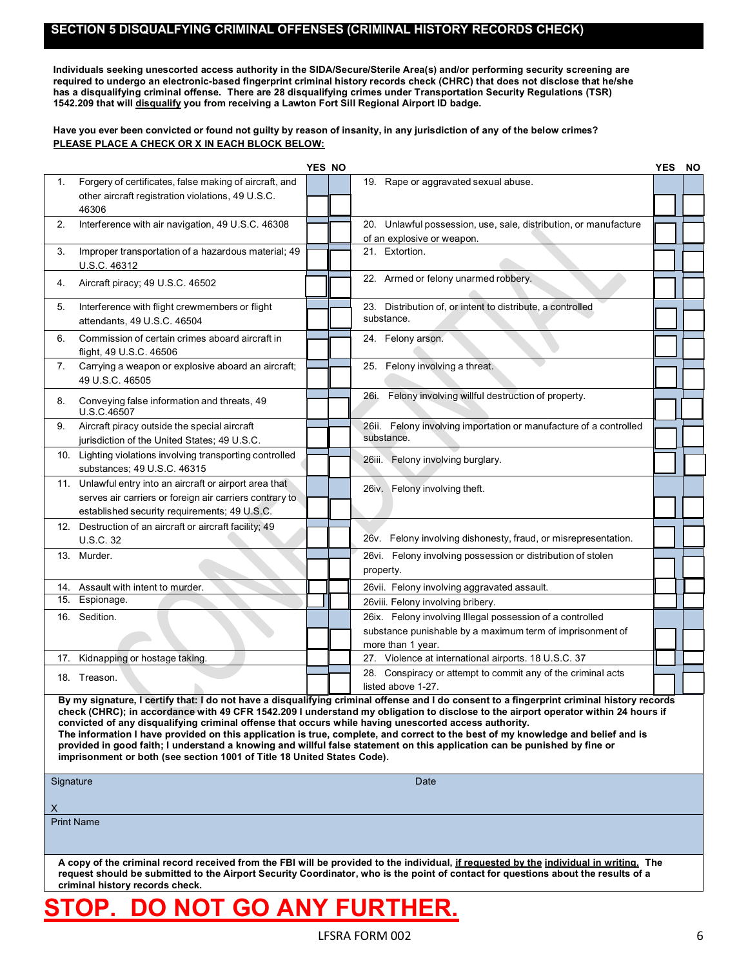### **SECTION 5 DISQUALFYING CRIMINAL OFFENSES (CRIMINAL HISTORY RECORDS CHECK)**

**Individuals seeking unescorted access authority in the SIDA/Secure/Sterile Area(s) and/or performing security screening are required to undergo an electronic-based fingerprint criminal history records check (CHRC) that does not disclose that he/she has a disqualifying criminal offense. There are 28 disqualifying crimes under Transportation Security Regulations (TSR) 1542.209 that will disqualify you from receiving a Lawton Fort Sill Regional Airport ID badge.**

#### Have you ever been convicted or found not guilty by reason of insanity, in any jurisdiction of any of the below crimes? **PLEASE PLACE A CHECK OR X IN EACH BLOCK BELOW:**

|           |                                                                                                                                                                                  | <b>YES NO</b> |                                                                                                                                                                                                                                                                                                                                                                                                                                                                                                                                                           | <b>YES</b> | <b>NO</b> |
|-----------|----------------------------------------------------------------------------------------------------------------------------------------------------------------------------------|---------------|-----------------------------------------------------------------------------------------------------------------------------------------------------------------------------------------------------------------------------------------------------------------------------------------------------------------------------------------------------------------------------------------------------------------------------------------------------------------------------------------------------------------------------------------------------------|------------|-----------|
| 1.        | Forgery of certificates, false making of aircraft, and                                                                                                                           |               | 19. Rape or aggravated sexual abuse.                                                                                                                                                                                                                                                                                                                                                                                                                                                                                                                      |            |           |
|           | other aircraft registration violations, 49 U.S.C.<br>46306                                                                                                                       |               |                                                                                                                                                                                                                                                                                                                                                                                                                                                                                                                                                           |            |           |
| 2.        | Interference with air navigation, 49 U.S.C. 46308                                                                                                                                |               | 20. Unlawful possession, use, sale, distribution, or manufacture<br>of an explosive or weapon.                                                                                                                                                                                                                                                                                                                                                                                                                                                            |            |           |
| 3.        | Improper transportation of a hazardous material; 49<br>U.S.C. 46312                                                                                                              |               | 21. Extortion.                                                                                                                                                                                                                                                                                                                                                                                                                                                                                                                                            |            |           |
| 4.        | Aircraft piracy; 49 U.S.C. 46502                                                                                                                                                 |               | 22. Armed or felony unarmed robbery.                                                                                                                                                                                                                                                                                                                                                                                                                                                                                                                      |            |           |
| 5.        | Interference with flight crewmembers or flight<br>attendants, 49 U.S.C. 46504                                                                                                    |               | 23. Distribution of, or intent to distribute, a controlled<br>substance.                                                                                                                                                                                                                                                                                                                                                                                                                                                                                  |            |           |
| 6.        | Commission of certain crimes aboard aircraft in<br>flight, 49 U.S.C. 46506                                                                                                       |               | 24. Felony arson.                                                                                                                                                                                                                                                                                                                                                                                                                                                                                                                                         |            |           |
| 7.        | Carrying a weapon or explosive aboard an aircraft;<br>49 U.S.C. 46505                                                                                                            |               | 25. Felony involving a threat.                                                                                                                                                                                                                                                                                                                                                                                                                                                                                                                            |            |           |
| 8.        | Conveying false information and threats, 49<br>U.S.C.46507                                                                                                                       |               | Felony involving willful destruction of property.<br>26i.                                                                                                                                                                                                                                                                                                                                                                                                                                                                                                 |            |           |
| 9.        | Aircraft piracy outside the special aircraft<br>jurisdiction of the United States; 49 U.S.C.                                                                                     |               | 26ii. Felony involving importation or manufacture of a controlled<br>substance.                                                                                                                                                                                                                                                                                                                                                                                                                                                                           |            |           |
|           | 10. Lighting violations involving transporting controlled<br>substances; 49 U.S.C. 46315                                                                                         |               | 26iii. Felony involving burglary.                                                                                                                                                                                                                                                                                                                                                                                                                                                                                                                         |            |           |
|           | 11. Unlawful entry into an aircraft or airport area that<br>serves air carriers or foreign air carriers contrary to<br>established security requirements; 49 U.S.C.              |               | 26iv. Felony involving theft.                                                                                                                                                                                                                                                                                                                                                                                                                                                                                                                             |            |           |
|           | 12. Destruction of an aircraft or aircraft facility; 49<br>U.S.C. 32                                                                                                             |               | 26v. Felony involving dishonesty, fraud, or misrepresentation.                                                                                                                                                                                                                                                                                                                                                                                                                                                                                            |            |           |
|           | 13. Murder.                                                                                                                                                                      |               | 26vi. Felony involving possession or distribution of stolen<br>property.                                                                                                                                                                                                                                                                                                                                                                                                                                                                                  |            |           |
| 14.       | Assault with intent to murder.                                                                                                                                                   |               | 26vii. Felony involving aggravated assault.                                                                                                                                                                                                                                                                                                                                                                                                                                                                                                               |            |           |
| 15.       | Espionage.                                                                                                                                                                       |               | 26viii. Felony involving bribery.                                                                                                                                                                                                                                                                                                                                                                                                                                                                                                                         |            |           |
|           | 16. Sedition.                                                                                                                                                                    |               | 26ix. Felony involving Illegal possession of a controlled<br>substance punishable by a maximum term of imprisonment of<br>more than 1 year.                                                                                                                                                                                                                                                                                                                                                                                                               |            |           |
| 17.       | Kidnapping or hostage taking.                                                                                                                                                    |               | 27. Violence at international airports. 18 U.S.C. 37                                                                                                                                                                                                                                                                                                                                                                                                                                                                                                      |            |           |
|           | 18. Treason.                                                                                                                                                                     |               | 28. Conspiracy or attempt to commit any of the criminal acts<br>listed above 1-27.                                                                                                                                                                                                                                                                                                                                                                                                                                                                        |            |           |
| Signature | convicted of any disqualifying criminal offense that occurs while having unescorted access authority.<br>imprisonment or both (see section 1001 of Title 18 United States Code). |               | By my signature, I certify that: I do not have a disqualifying criminal offense and I do consent to a fingerprint criminal history records<br>check (CHRC); in accordance with 49 CFR 1542.209 I understand my obligation to disclose to the airport operator within 24 hours if<br>The information I have provided on this application is true, complete, and correct to the best of my knowledge and belief and is<br>provided in good faith; I understand a knowing and willful false statement on this application can be punished by fine or<br>Date |            |           |
| X         |                                                                                                                                                                                  |               |                                                                                                                                                                                                                                                                                                                                                                                                                                                                                                                                                           |            |           |
|           | <b>Print Name</b>                                                                                                                                                                |               |                                                                                                                                                                                                                                                                                                                                                                                                                                                                                                                                                           |            |           |
|           | criminal history records check.                                                                                                                                                  |               | A copy of the criminal record received from the FBI will be provided to the individual, if requested by the individual in writing. The<br>request should be submitted to the Airport Security Coordinator, who is the point of contact for questions about the results of a                                                                                                                                                                                                                                                                               |            |           |

# **STOP. DO NOT GO ANY FURTHER.**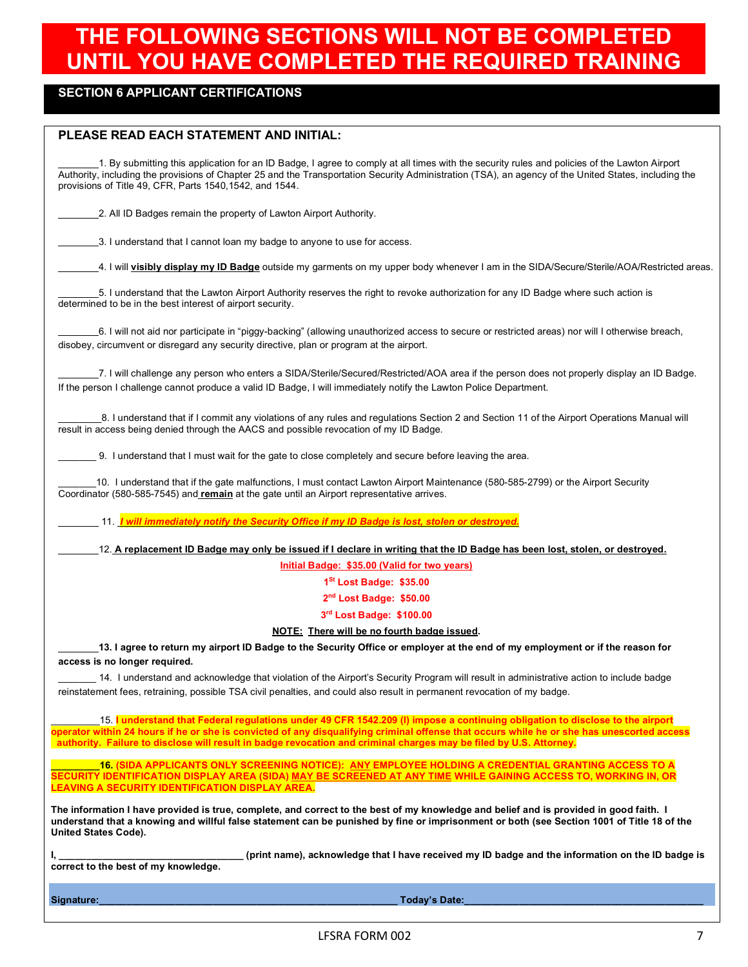# **THE FOLLOWING SECTIONS WILL NOT BE COMPLETED UNTIL YOU HAVE COMPLETED THE REQUIRED TRAINING**

## **SECTION 6 APPLICANT CERTIFICATIONS**

### **PLEASE READ EACH STATEMENT AND INITIAL:**

1. By submitting this application for an ID Badge, I agree to comply at all times with the security rules and policies of the Lawton Airport Authority, including the provisions of Chapter 25 and the Transportation Security Administration (TSA), an agency of the United States, including the provisions of Title 49, CFR, Parts 1540,1542, and 1544.

2. All ID Badges remain the property of Lawton Airport Authority.

1.3. I understand that I cannot loan my badge to anyone to use for access.

4. I will **visibly display my ID Badge** outside my garments on my upper body whenever I am in the SIDA/Secure/Sterile/AOA/Restricted areas.

5. I understand that the Lawton Airport Authority reserves the right to revoke authorization for any ID Badge where such action is determined to be in the best interest of airport security.

6. I will not aid nor participate in "piggy-backing" (allowing unauthorized access to secure or restricted areas) nor will I otherwise breach, disobey, circumvent or disregard any security directive, plan or program at the airport.

7. I will challenge any person who enters a SIDA/Sterile/Secured/Restricted/AOA area if the person does not properly display an ID Badge. If the person I challenge cannot produce a valid ID Badge, I will immediately notify the Lawton Police Department.

\_\_\_\_\_\_\_\_8. I understand that if I commit any violations of any rules and regulations Section 2 and Section 11 of the Airport Operations Manual will result in access being denied through the AACS and possible revocation of my ID Badge.

\_\_\_\_\_\_\_ 9. I understand that I must wait for the gate to close completely and secure before leaving the area.

10. I understand that if the gate malfunctions, I must contact Lawton Airport Maintenance (580-585-2799) or the Airport Security Coordinator (580-585-7545) and **remain** at the gate until an Airport representative arrives.

11. *I will immediately notify the Security Office if my ID Badge is lost, stolen or destroyed.*

12. **A replacement ID Badge may only be issued if I declare in writing that the ID Badge has been lost, stolen, or destroyed.**

**Initial Badge: \$35.00 (Valid for two years)**

**1St Lost Badge: \$35.00**

**2nd Lost Badge: \$50.00**

**3rd Lost Badge: \$100.00**

**NOTE: There will be no fourth badge issued.**

**13. I agree to return my airport ID Badge to the Security Office or employer at the end of my employment or if the reason for access is no longer required.**

14. I understand and acknowledge that violation of the Airport's Security Program will result in administrative action to include badge reinstatement fees, retraining, possible TSA civil penalties, and could also result in permanent revocation of my badge.

\_\_\_\_\_\_\_\_\_15. **I understand that Federal regulations under 49 CFR 1542.209 (l) impose a continuing obligation to disclose to the airport operator within 24 hours if he or she is convicted of any disqualifying criminal offense that occurs while he or she has unescorted access authority. Failure to disclose will result in badge revocation and criminal charges may be filed by U.S. Attorney.**

**\_\_\_\_\_\_\_\_\_16. (SIDA APPLICANTS ONLY SCREENING NOTICE): ANY EMPLOYEE HOLDING A CREDENTIAL GRANTING ACCESS TO A SECURITY IDENTIFICATION DISPLAY AREA (SIDA) MAY BE SCREENED AT ANY TIME WHILE GAINING ACCESS TO, WORKING IN, OR LEAVING A SECURITY IDENTIFICATION DISPLAY AREA.**

**The information I have provided is true, complete, and correct to the best of my knowledge and belief and is provided in good faith. I understand that a knowing and willful false statement can be punished by fine or imprisonment or both (see Section 1001 of Title 18 of the United States Code).**

**correct to the best of my knowledge.**

**I, \_\_\_\_\_\_\_\_\_\_\_\_\_\_\_\_\_\_\_\_\_\_\_\_\_\_\_\_\_\_\_\_\_\_ (print name), acknowledge that I have received my ID badge and the information on the ID badge is** 

**Signature:\_\_\_\_\_\_\_\_\_\_\_\_\_\_\_\_\_\_\_\_\_\_\_\_\_\_\_\_\_\_\_\_\_\_\_\_\_\_\_\_\_\_\_\_\_\_\_\_\_\_\_\_\_\_\_ Today's Date:\_\_\_\_\_\_\_\_\_\_\_\_\_\_\_\_\_\_\_\_\_\_\_\_\_\_\_\_\_\_\_\_\_\_\_\_\_\_\_\_\_\_\_\_**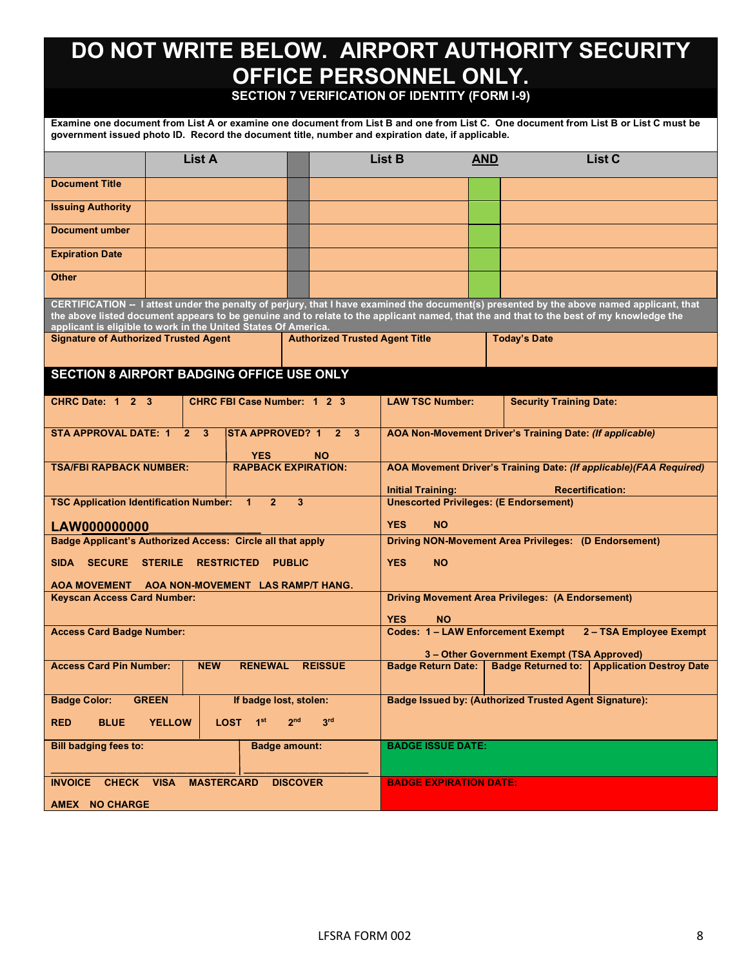# **DO NOT WRITE BELOW. AIRPORT AUTHORITY SECURITY OFFICE PERSONNEL ONLY.**

# **SECTION 7 VERIFICATION OF IDENTITY (FORM I-9)**

**Examine one document from List A or examine one document from List B and one from List C. One document from List B or List C must be government issued photo ID. Record the document title, number and expiration date, if applicable.**

|                                                                   | <b>List A</b>                       |                                      |                 |                                       | List B                                                                                                                    | <b>AND</b> |                                                        | <b>List C</b>                                                                                                                                                                                                                                                                        |  |
|-------------------------------------------------------------------|-------------------------------------|--------------------------------------|-----------------|---------------------------------------|---------------------------------------------------------------------------------------------------------------------------|------------|--------------------------------------------------------|--------------------------------------------------------------------------------------------------------------------------------------------------------------------------------------------------------------------------------------------------------------------------------------|--|
| <b>Document Title</b>                                             |                                     |                                      |                 |                                       |                                                                                                                           |            |                                                        |                                                                                                                                                                                                                                                                                      |  |
| <b>Issuing Authority</b>                                          |                                     |                                      |                 |                                       |                                                                                                                           |            |                                                        |                                                                                                                                                                                                                                                                                      |  |
| Document umber                                                    |                                     |                                      |                 |                                       |                                                                                                                           |            |                                                        |                                                                                                                                                                                                                                                                                      |  |
| <b>Expiration Date</b>                                            |                                     |                                      |                 |                                       |                                                                                                                           |            |                                                        |                                                                                                                                                                                                                                                                                      |  |
| <b>Other</b>                                                      |                                     |                                      |                 |                                       |                                                                                                                           |            |                                                        |                                                                                                                                                                                                                                                                                      |  |
| applicant is eligible to work in the United States Of America.    |                                     |                                      |                 |                                       |                                                                                                                           |            |                                                        | CERTIFICATION -- I attest under the penalty of perjury, that I have examined the document(s) presented by the above named applicant, that<br>the above listed document appears to be genuine and to relate to the applicant named, that the and that to the best of my knowledge the |  |
| <b>Signature of Authorized Trusted Agent</b>                      |                                     |                                      |                 | <b>Authorized Trusted Agent Title</b> |                                                                                                                           |            | <b>Today's Date</b>                                    |                                                                                                                                                                                                                                                                                      |  |
| SECTION 8 AIRPORT BADGING OFFICE USE ONLY                         |                                     |                                      |                 |                                       |                                                                                                                           |            |                                                        |                                                                                                                                                                                                                                                                                      |  |
| CHRC Date: 1 2 3                                                  |                                     | <b>CHRC FBI Case Number: 1 2 3</b>   |                 |                                       | <b>LAW TSC Number:</b>                                                                                                    |            | <b>Security Training Date:</b>                         |                                                                                                                                                                                                                                                                                      |  |
| <b>STA APPROVAL DATE: 1</b>                                       | 2 <sup>1</sup><br>$\mathbf{3}$      | <b>STA APPROVED? 1</b><br><b>YES</b> |                 | $2 \quad 3$<br><b>NO</b>              | AOA Non-Movement Driver's Training Date: (If applicable)                                                                  |            |                                                        |                                                                                                                                                                                                                                                                                      |  |
| <b>TSA/FBI RAPBACK NUMBER:</b>                                    |                                     | <b>RAPBACK EXPIRATION:</b>           |                 |                                       | AOA Movement Driver's Training Date: (If applicable)(FAA Required)<br><b>Recertification:</b><br><b>Initial Training:</b> |            |                                                        |                                                                                                                                                                                                                                                                                      |  |
| <b>TSC Application Identification Number:</b>                     |                                     | $\mathbf{1}$<br>$\overline{2}$       | 3               |                                       | <b>Unescorted Privileges: (E Endorsement)</b>                                                                             |            |                                                        |                                                                                                                                                                                                                                                                                      |  |
| LAW000000000                                                      |                                     |                                      |                 |                                       | <b>YES</b><br><b>NO</b>                                                                                                   |            |                                                        |                                                                                                                                                                                                                                                                                      |  |
| <b>Badge Applicant's Authorized Access: Circle all that apply</b> |                                     |                                      |                 |                                       | Driving NON-Movement Area Privileges: (D Endorsement)                                                                     |            |                                                        |                                                                                                                                                                                                                                                                                      |  |
| <b>SIDA</b><br><b>SECURE</b>                                      | <b>STERILE</b><br><b>RESTRICTED</b> |                                      | <b>PUBLIC</b>   |                                       | <b>YES</b><br><b>NO</b>                                                                                                   |            |                                                        |                                                                                                                                                                                                                                                                                      |  |
| AOA MOVEMENT AOA NON-MOVEMENT LAS RAMP/T HANG.                    |                                     |                                      |                 |                                       | <b>Driving Movement Area Privileges: (A Endorsement)</b>                                                                  |            |                                                        |                                                                                                                                                                                                                                                                                      |  |
| <b>Keyscan Access Card Number:</b>                                |                                     |                                      |                 |                                       | <b>YES</b><br><b>NO</b>                                                                                                   |            |                                                        |                                                                                                                                                                                                                                                                                      |  |
| <b>Access Card Badge Number:</b>                                  |                                     |                                      |                 |                                       | <b>Codes: 1-LAW Enforcement Exempt</b><br>2 - TSA Employee Exempt                                                         |            |                                                        |                                                                                                                                                                                                                                                                                      |  |
|                                                                   |                                     |                                      |                 |                                       | 3 - Other Government Exempt (TSA Approved)                                                                                |            |                                                        |                                                                                                                                                                                                                                                                                      |  |
| <b>Access Card Pin Number:</b>                                    | <b>NEW</b>                          | <b>RENEWAL</b>                       |                 | <b>REISSUE</b>                        | <b>Badge Return Date:</b>                                                                                                 |            | <b>Badge Returned to:</b>                              | <b>Application Destroy Date</b>                                                                                                                                                                                                                                                      |  |
| <b>Badge Color:</b>                                               | <b>GREEN</b>                        | If badge lost, stolen:               |                 |                                       |                                                                                                                           |            | Badge Issued by: (Authorized Trusted Agent Signature): |                                                                                                                                                                                                                                                                                      |  |
| <b>BLUE</b><br><b>RED</b>                                         | <b>YELLOW</b>                       | LOST 1st                             | 2 <sub>nd</sub> | 3 <sup>rd</sup>                       |                                                                                                                           |            |                                                        |                                                                                                                                                                                                                                                                                      |  |
| <b>Bill badging fees to:</b>                                      |                                     | <b>Badge amount:</b>                 |                 |                                       | <b>BADGE ISSUE DATE:</b>                                                                                                  |            |                                                        |                                                                                                                                                                                                                                                                                      |  |
|                                                                   |                                     |                                      |                 |                                       |                                                                                                                           |            |                                                        |                                                                                                                                                                                                                                                                                      |  |
| INVOICE CHECK VISA MASTERCARD                                     |                                     |                                      | <b>DISCOVER</b> |                                       | <b>BADGE EXPIRATION DATE:</b>                                                                                             |            |                                                        |                                                                                                                                                                                                                                                                                      |  |
| AMEX NO CHARGE                                                    |                                     |                                      |                 |                                       |                                                                                                                           |            |                                                        |                                                                                                                                                                                                                                                                                      |  |